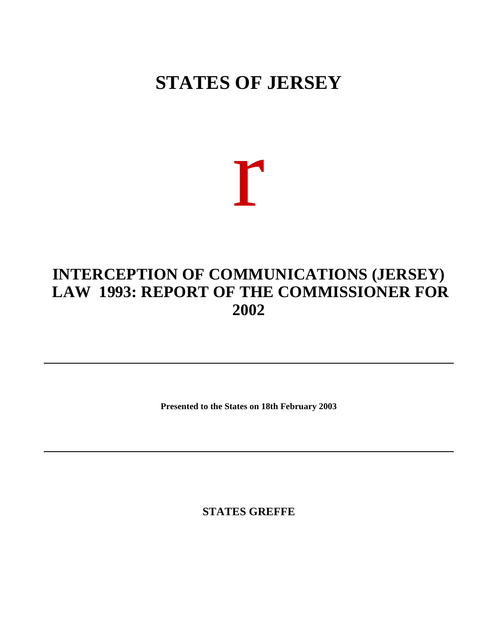## **STATES OF JERSEY**

## r

## **INTERCEPTION OF COMMUNICATIONS (JERSEY) LAW 1993: REPORT OF THE COMMISSIONER FOR 2002**

**Presented to the States on 18th February 2003**

**STATES GREFFE**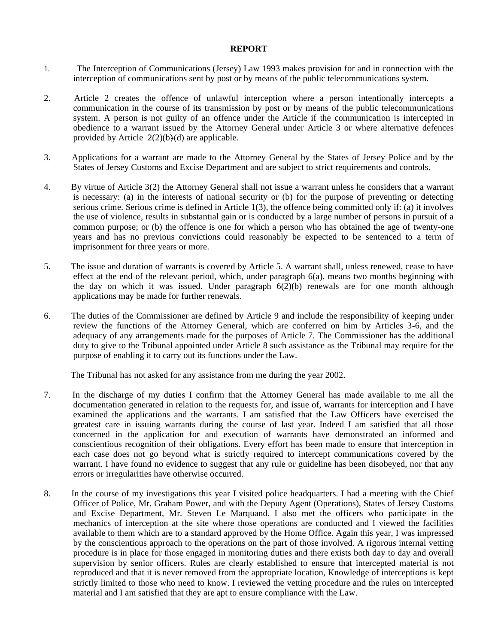## **REPORT**

- 1. The Interception of Communications (Jersey) Law 1993 makes provision for and in connection with the interception of communications sent by post or by means of the public telecommunications system.
- 2. Article 2 creates the offence of unlawful interception where a person intentionally intercepts a communication in the course of its transmission by post or by means of the public telecommunications system. A person is not guilty of an offence under the Article if the communication is intercepted in obedience to a warrant issued by the Attorney General under Article 3 or where alternative defences provided by Article  $2(2)(b)(d)$  are applicable.
- 3. Applications for a warrant are made to the Attorney General by the States of Jersey Police and by the States of Jersey Customs and Excise Department and are subject to strict requirements and controls.
- 4. By virtue of Article 3(2) the Attorney General shall not issue a warrant unless he considers that a warrant is necessary: (a) in the interests of national security or (b) for the purpose of preventing or detecting serious crime. Serious crime is defined in Article 1(3), the offence being committed only if: (a) it involves the use of violence, results in substantial gain or is conducted by a large number of persons in pursuit of a common purpose; or (b) the offence is one for which a person who has obtained the age of twenty-one years and has no previous convictions could reasonably be expected to be sentenced to a term of imprisonment for three years or more.
- 5. The issue and duration of warrants is covered by Article 5. A warrant shall, unless renewed, cease to have effect at the end of the relevant period, which, under paragraph  $6(a)$ , means two months beginning with the day on which it was issued. Under paragraph  $6(2)(b)$  renewals are for one month although applications may be made for further renewals.
- 6. The duties of the Commissioner are defined by Article 9 and include the responsibility of keeping under review the functions of the Attorney General, which are conferred on him by Articles 3-6, and the adequacy of any arrangements made for the purposes of Article 7. The Commissioner has the additional duty to give to the Tribunal appointed under Article 8 such assistance as the Tribunal may require for the purpose of enabling it to carry out its functions under the Law.

The Tribunal has not asked for any assistance from me during the year 2002.

- 7. In the discharge of my duties I confirm that the Attorney General has made available to me all the documentation generated in relation to the requests for, and issue of, warrants for interception and I have examined the applications and the warrants. I am satisfied that the Law Officers have exercised the greatest care in issuing warrants during the course of last year. Indeed I am satisfied that all those concerned in the application for and execution of warrants have demonstrated an informed and conscientious recognition of their obligations. Every effort has been made to ensure that interception in each case does not go beyond what is strictly required to intercept communications covered by the warrant. I have found no evidence to suggest that any rule or guideline has been disobeyed, nor that any errors or irregularities have otherwise occurred.
- 8. In the course of my investigations this year I visited police headquarters. I had a meeting with the Chief Officer of Police, Mr. Graham Power, and with the Deputy Agent (Operations), States of Jersey Customs and Excise Department, Mr. Steven Le Marquand. I also met the officers who participate in the mechanics of interception at the site where those operations are conducted and I viewed the facilities available to them which are to a standard approved by the Home Office. Again this year, I was impressed by the conscientious approach to the operations on the part of those involved. A rigorous internal vetting procedure is in place for those engaged in monitoring duties and there exists both day to day and overall supervision by senior officers. Rules are clearly established to ensure that intercepted material is not reproduced and that it is never removed from the appropriate location, Knowledge of interceptions is kept strictly limited to those who need to know. I reviewed the vetting procedure and the rules on intercepted material and I am satisfied that they are apt to ensure compliance with the Law.